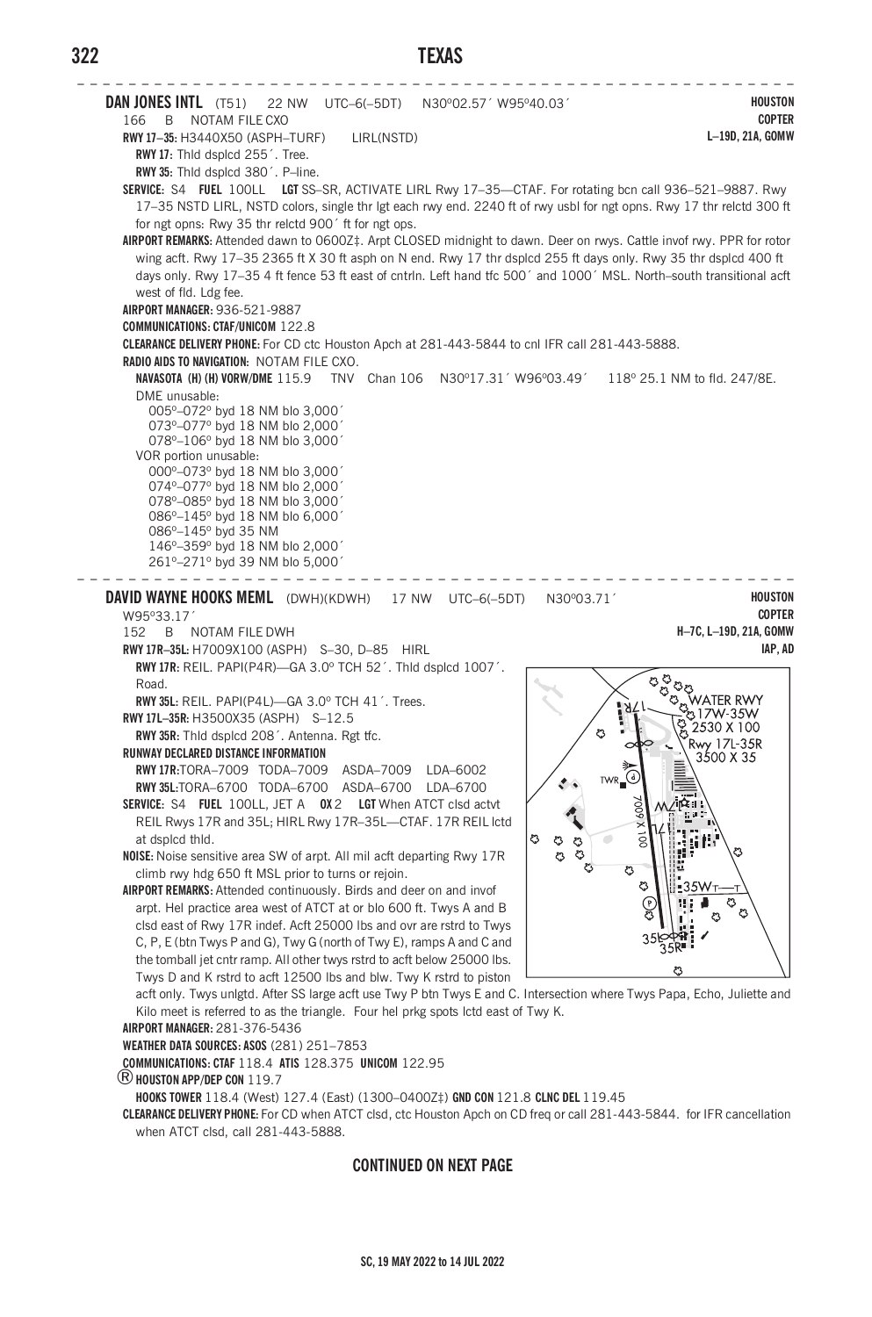## **322 TEXAS**



## **CONTINUED ON NEXT PAGE**